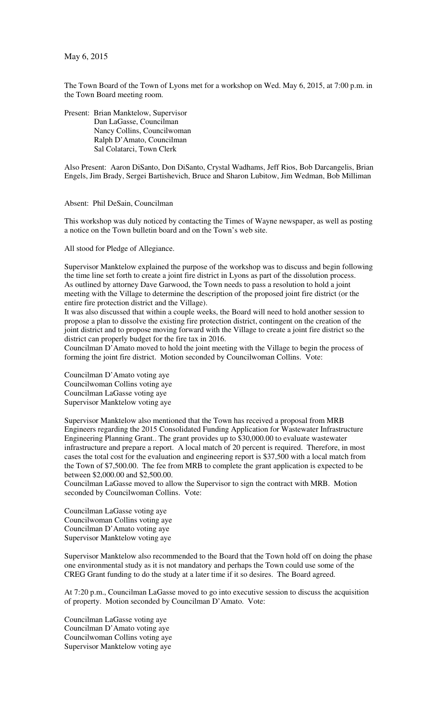May 6, 2015

The Town Board of the Town of Lyons met for a workshop on Wed. May 6, 2015, at 7:00 p.m. in the Town Board meeting room.

Present: Brian Manktelow, Supervisor Dan LaGasse, Councilman Nancy Collins, Councilwoman Ralph D'Amato, Councilman Sal Colatarci, Town Clerk

Also Present: Aaron DiSanto, Don DiSanto, Crystal Wadhams, Jeff Rios, Bob Darcangelis, Brian Engels, Jim Brady, Sergei Bartishevich, Bruce and Sharon Lubitow, Jim Wedman, Bob Milliman

Absent: Phil DeSain, Councilman

This workshop was duly noticed by contacting the Times of Wayne newspaper, as well as posting a notice on the Town bulletin board and on the Town's web site.

All stood for Pledge of Allegiance.

Supervisor Manktelow explained the purpose of the workshop was to discuss and begin following the time line set forth to create a joint fire district in Lyons as part of the dissolution process. As outlined by attorney Dave Garwood, the Town needs to pass a resolution to hold a joint meeting with the Village to determine the description of the proposed joint fire district (or the entire fire protection district and the Village).

It was also discussed that within a couple weeks, the Board will need to hold another session to propose a plan to dissolve the existing fire protection district, contingent on the creation of the joint district and to propose moving forward with the Village to create a joint fire district so the district can properly budget for the fire tax in 2016.

Councilman D'Amato moved to hold the joint meeting with the Village to begin the process of forming the joint fire district. Motion seconded by Councilwoman Collins. Vote:

Councilman D'Amato voting aye Councilwoman Collins voting aye Councilman LaGasse voting aye Supervisor Manktelow voting aye

Supervisor Manktelow also mentioned that the Town has received a proposal from MRB Engineers regarding the 2015 Consolidated Funding Application for Wastewater Infrastructure Engineering Planning Grant.. The grant provides up to \$30,000.00 to evaluate wastewater infrastructure and prepare a report. A local match of 20 percent is required. Therefore, in most cases the total cost for the evaluation and engineering report is \$37,500 with a local match from the Town of \$7,500.00. The fee from MRB to complete the grant application is expected to be between \$2,000.00 and \$2,500.00.

Councilman LaGasse moved to allow the Supervisor to sign the contract with MRB. Motion seconded by Councilwoman Collins. Vote:

Councilman LaGasse voting aye Councilwoman Collins voting aye Councilman D'Amato voting aye Supervisor Manktelow voting aye

Supervisor Manktelow also recommended to the Board that the Town hold off on doing the phase one environmental study as it is not mandatory and perhaps the Town could use some of the CREG Grant funding to do the study at a later time if it so desires. The Board agreed.

At 7:20 p.m., Councilman LaGasse moved to go into executive session to discuss the acquisition of property. Motion seconded by Councilman D'Amato. Vote:

Councilman LaGasse voting aye Councilman D'Amato voting aye Councilwoman Collins voting aye Supervisor Manktelow voting aye